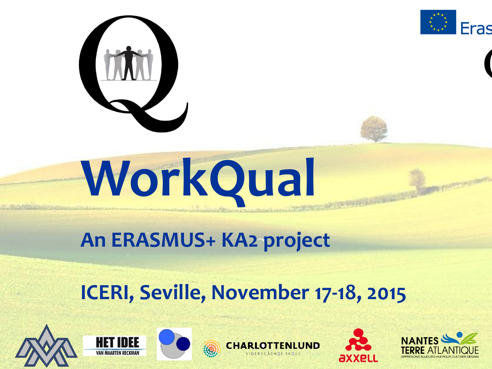



#### **An ERASMUS+ KA2 project**

#### **ICERI, Seville, November 17-18, 2015**











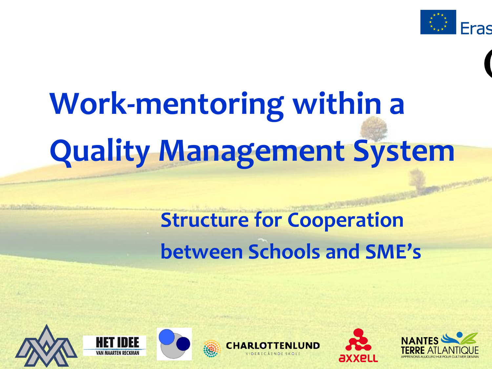

# **Work-mentoring within a Quality Management System**

### **Structure for Cooperation between Schools and SME's**











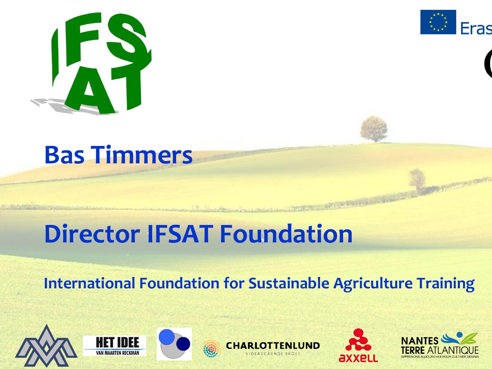



### **Bas Timmers**

### **Director IFSAT Foundation**

#### **International Foundation for Sustainable Agriculture Training**











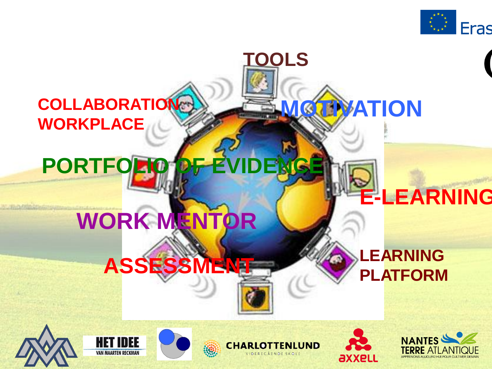

#### **COLLABORATION WORKPLACE**

### **PORTFO**

**ASSESSMENT**

### **WORK MENTOR**

#### **LEARNING PLATFORM**

**EMATION** 









**TOOLS**





**E-LEARNING**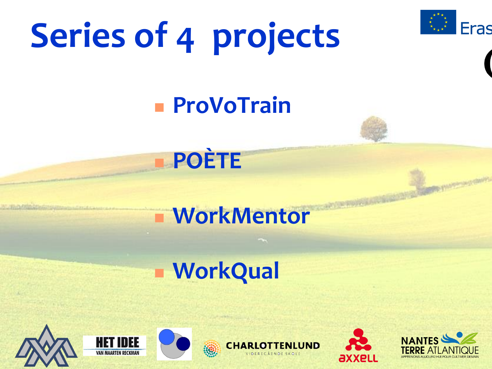# **Series of 4 projects**



#### **ProVoTrain**



#### **WorkMentor**

### **WorkQual**











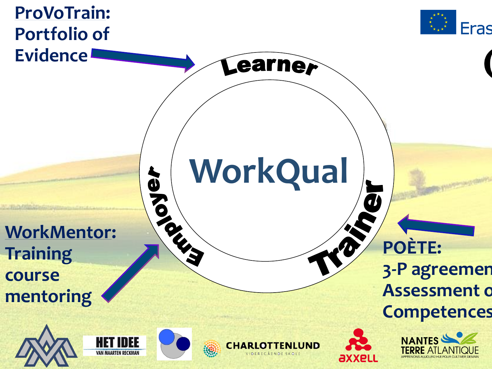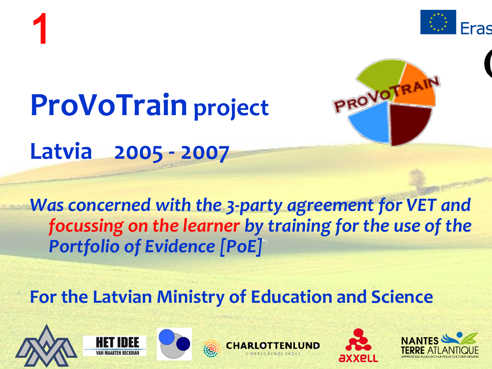



## **ProVoTrain project**

**Latvia 2005 - 2007**

#### *Was concerned with the 3-party agreement for VET and focussing on the learner by training for the use of the Portfolio of Evidence [PoE]*

#### **For the Latvian Ministry of Education and Science**











PROVOTRAIN

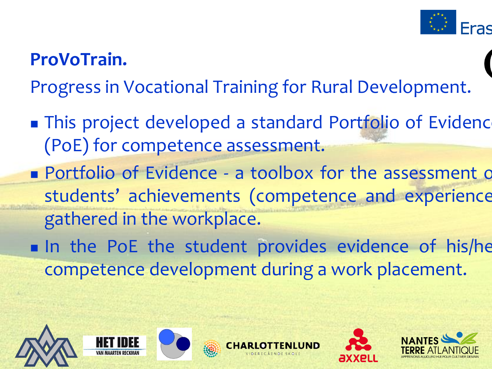

#### **ProVoTrain.**

Progress in Vocational Training for Rural Development.

- **This project developed a standard Portfolio of Evidence** (PoE) for competence assessment.
- **Portfolio of Evidence a toolbox for the assessment of** students' achievements (competence and experience) gathered in the workplace.
- In the PoE the student provides evidence of his/he competence development during a work placement.









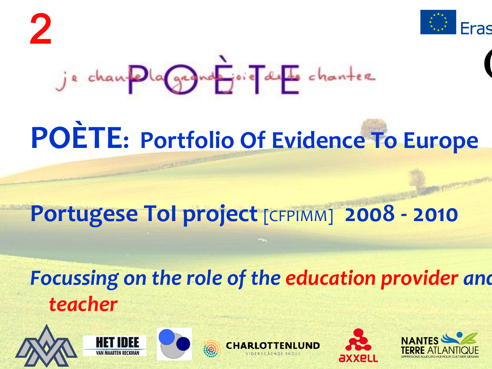

## **POÈTE: Portfolio Of Evidence To Europe**

#### **Portugese ToI project** [CFPIMM] **2008 - 2010**

#### *Focussing on the role of the education provider and teacher*









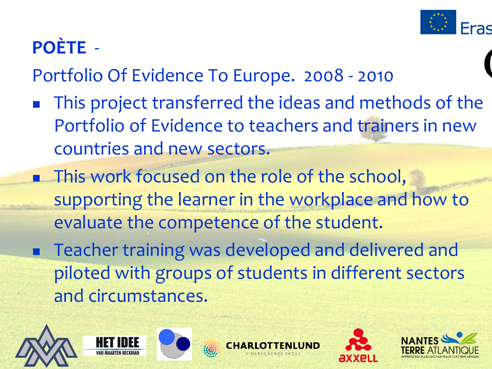

#### **POÈTE** -

Portfolio Of Evidence To Europe. 2008 - 2010

- This project transferred the ideas and methods of the Portfolio of Evidence to teachers and trainers in new countries and new sectors.
- **This work focused on the role of the school,** supporting the learner in the workplace and how to evaluate the competence of the student.
- Teacher training was developed and delivered and piloted with groups of students in different sectors and circumstances.











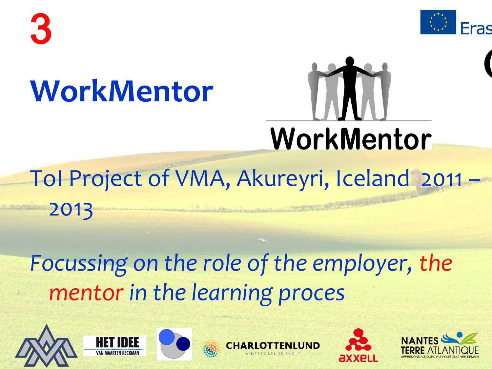



### **WorkMentor**



## ToI Project of VMA, Akureyri, Iceland 2011 –

### *Focussing on the role of the employer, the mentor in the learning proces*



2013









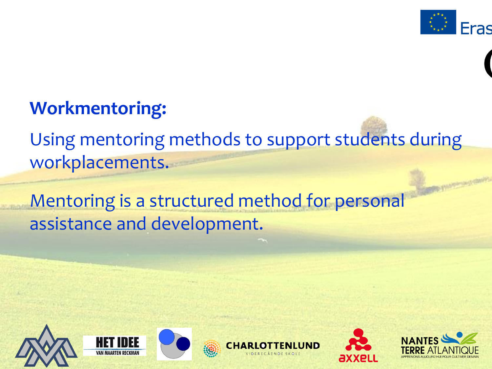

#### **Workmentoring:**

Using mentoring methods to support students during workplacements.

Mentoring is a structured method for personal assistance and development.











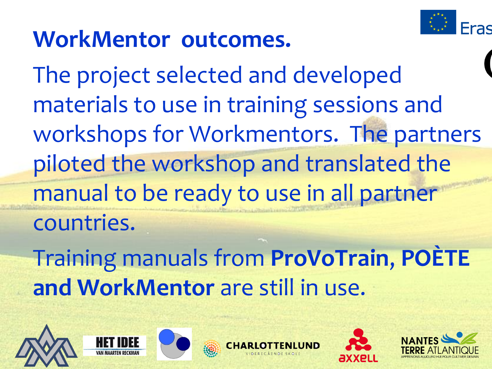

### **WorkMentor outcomes.**

The project selected and developed materials to use in training sessions and workshops for Workmentors. The partners piloted the workshop and translated the manual to be ready to use in all partner countries.

Training manuals from **ProVoTrain**, **POÈTE and WorkMentor** are still in use.









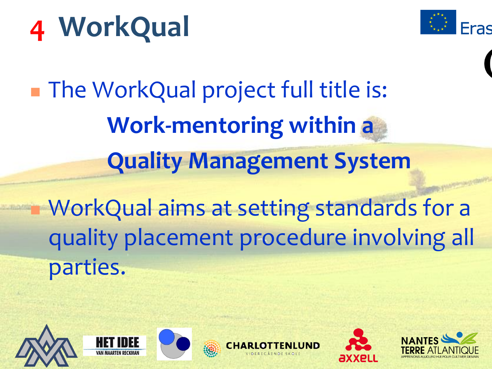

■ The WorkQual project full title is: **Work-mentoring within a Quality Management System** 

 WorkQual aims at setting standards for a quality placement procedure involving all parties.











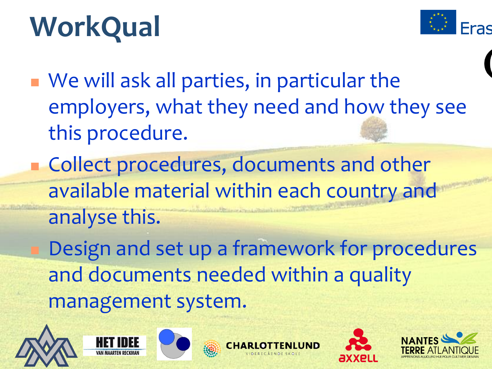

 We will ask all parties, in particular the employers, what they need and how they see this procedure.

**Collect procedures, documents and other** available material within each country and analyse this.

 Design and set up a framework for procedures and documents needed within a quality management system.











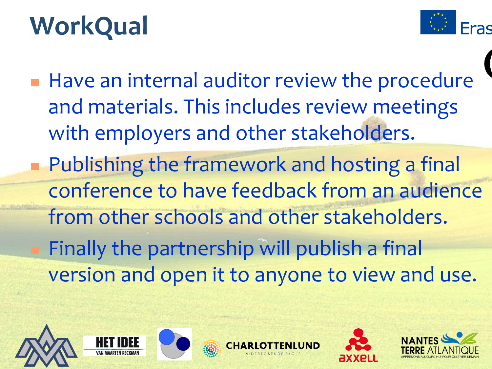

**Have an internal auditor review the procedure** and materials. This includes review meetings with employers and other stakeholders. **Publishing the framework and hosting a final** conference to have feedback from an audience from other schools and other stakeholders. Finally the partnership will publish a final version and open it to anyone to view and use.









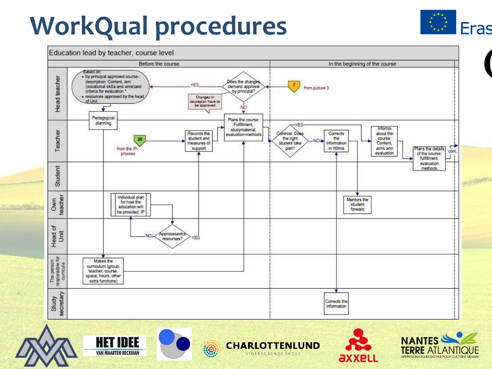### **WorkQual procedures**











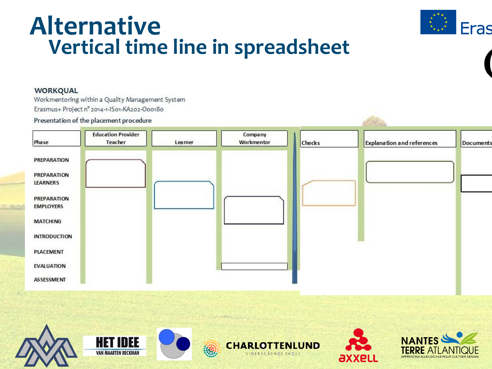#### **Alternative Vertical time line in spreadsheet**



#### WORKQUAL

Workmentoring within a Quality Management System Erasmus+ Project n° 2014-1-IS01-KA202-O00180

#### Presentation of the placement procedure



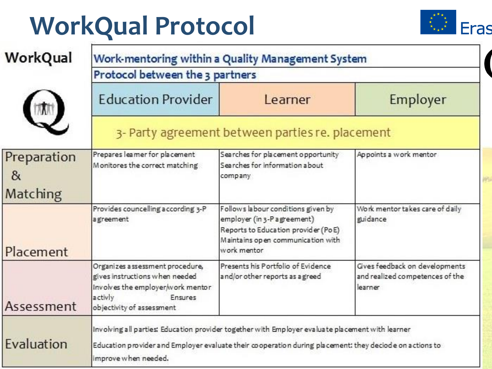### **WorkQual Protocol**



| WorkQual                     | Work-mentoring within a Quality Management System<br>Protocol between the 3 partners                                                                      |                                                                                                                                                                                                             |                                                                              |
|------------------------------|-----------------------------------------------------------------------------------------------------------------------------------------------------------|-------------------------------------------------------------------------------------------------------------------------------------------------------------------------------------------------------------|------------------------------------------------------------------------------|
|                              | <b>Education Provider</b>                                                                                                                                 | Learner                                                                                                                                                                                                     | Employer                                                                     |
|                              | 3- Party agreement between parties re. placement                                                                                                          |                                                                                                                                                                                                             |                                                                              |
| Preparation<br>&<br>Matching | Prepares learner for placement<br>Monitores the correct matching                                                                                          | Searches for placement opportunity<br>Searches for information about<br>company                                                                                                                             | Appoints a work mentor                                                       |
| Placement                    | Provides councelling according 3-P<br>agreement                                                                                                           | Follows labour conditions given by<br>employer (in 3-P agreement)<br>Reports to Education provider (PoE)<br>Maintains open communication with<br>work mentor                                                | Work mentor takes care of daily<br>euidance                                  |
| Assessment                   | Organizes assessment procedure,<br>gives instructions when needed<br>Involves the employer/work mentor<br>activly<br>Ensures<br>objectivity of assessment | Presents his Portfolio of Evidence<br>and/or other reports as a greed                                                                                                                                       | Gives feedback on developments<br>and realized competences of the<br>learner |
| Evaluation                   | improve when needed.                                                                                                                                      | Involving all parties: Education provider together with Employer evaluate placement with learner<br>Education provider and Employer evaluate their cooperation during placement: they deciode on actions to |                                                                              |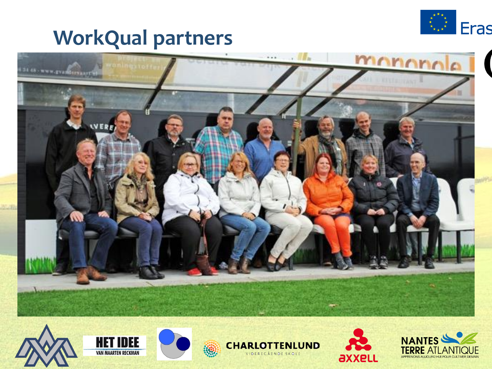

#### **WorkQual partners**







 $\{9\}$ 





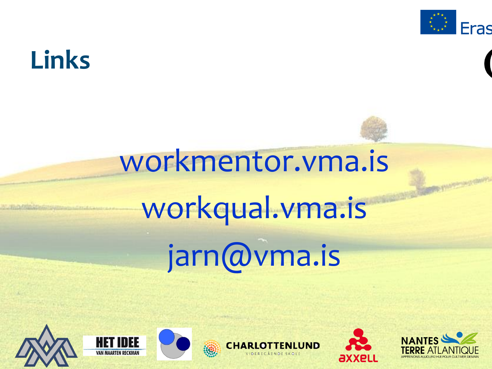

### **Links**

# workmentor.vma.is workqual.vma.is jarn@vma.is